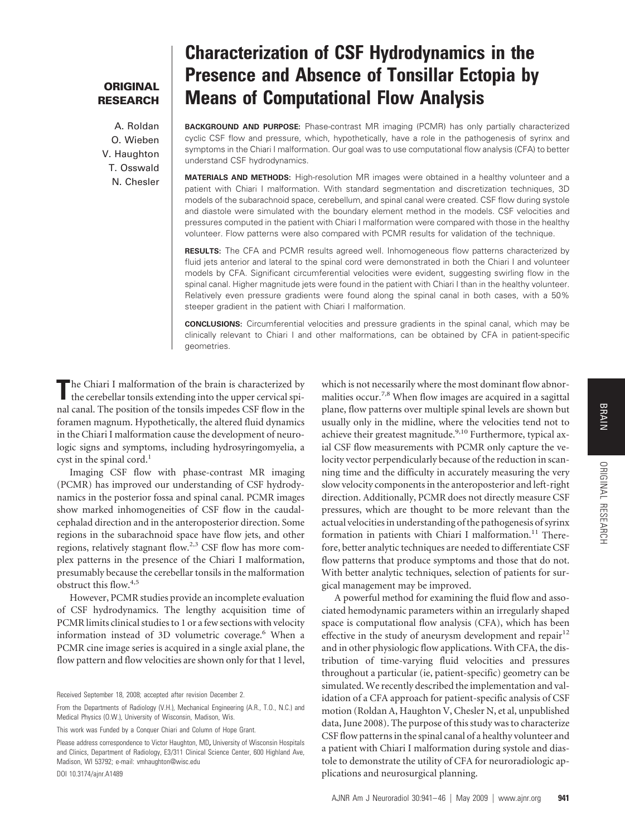## **ORIGINAL RESEARCH**

A. Roldan O. Wieben V. Haughton T. Osswald N. Chesler

# **Characterization of CSF Hydrodynamics in the Presence and Absence of Tonsillar Ectopia by Means of Computational Flow Analysis**

**BACKGROUND AND PURPOSE:** Phase-contrast MR imaging (PCMR) has only partially characterized cyclic CSF flow and pressure, which, hypothetically, have a role in the pathogenesis of syrinx and symptoms in the Chiari I malformation. Our goal was to use computational flow analysis (CFA) to better understand CSF hydrodynamics.

**MATERIALS AND METHODS:** High-resolution MR images were obtained in a healthy volunteer and a patient with Chiari I malformation. With standard segmentation and discretization techniques, 3D models of the subarachnoid space, cerebellum, and spinal canal were created. CSF flow during systole and diastole were simulated with the boundary element method in the models. CSF velocities and pressures computed in the patient with Chiari I malformation were compared with those in the healthy volunteer. Flow patterns were also compared with PCMR results for validation of the technique.

**RESULTS:** The CFA and PCMR results agreed well. Inhomogeneous flow patterns characterized by fluid jets anterior and lateral to the spinal cord were demonstrated in both the Chiari I and volunteer models by CFA. Significant circumferential velocities were evident, suggesting swirling flow in the spinal canal. Higher magnitude jets were found in the patient with Chiari I than in the healthy volunteer. Relatively even pressure gradients were found along the spinal canal in both cases, with a 50% steeper gradient in the patient with Chiari I malformation.

**CONCLUSIONS:** Circumferential velocities and pressure gradients in the spinal canal, which may be clinically relevant to Chiari I and other malformations, can be obtained by CFA in patient-specific geometries.

The Chiari I malformation of the brain is characterized by the cerebellar tonsils extending into the upper cervical spinal canal. The position of the tonsils impedes CSF flow in the foramen magnum. Hypothetically, the altered fluid dynamics in the Chiari I malformation cause the development of neurologic signs and symptoms, including hydrosyringomyelia, a cyst in the spinal cord. $<sup>1</sup>$ </sup>

Imaging CSF flow with phase-contrast MR imaging (PCMR) has improved our understanding of CSF hydrodynamics in the posterior fossa and spinal canal. PCMR images show marked inhomogeneities of CSF flow in the caudalcephalad direction and in the anteroposterior direction. Some regions in the subarachnoid space have flow jets, and other regions, relatively stagnant flow.<sup>2,3</sup> CSF flow has more complex patterns in the presence of the Chiari I malformation, presumably because the cerebellar tonsils in the malformation obstruct this flow.<sup>4,5</sup>

However, PCMR studies provide an incomplete evaluation of CSF hydrodynamics. The lengthy acquisition time of PCMR limits clinical studies to 1 or a few sections with velocity information instead of 3D volumetric coverage.<sup>6</sup> When a PCMR cine image series is acquired in a single axial plane, the flow pattern and flow velocities are shown only for that 1 level,

Received September 18, 2008; accepted after revision December 2.

From the Departments of Radiology (V.H.), Mechanical Engineering (A.R., T.O., N.C.) and Medical Physics (O.W.), University of Wisconsin, Madison, Wis.

DOI 10.3174/ajnr.A1489

which is not necessarily where the most dominant flow abnormalities occur.<sup>7,8</sup> When flow images are acquired in a sagittal plane, flow patterns over multiple spinal levels are shown but usually only in the midline, where the velocities tend not to achieve their greatest magnitude. $9,10$  Furthermore, typical axial CSF flow measurements with PCMR only capture the velocity vector perpendicularly because of the reduction in scanning time and the difficulty in accurately measuring the very slow velocity components in the anteroposterior and left-right direction. Additionally, PCMR does not directly measure CSF pressures, which are thought to be more relevant than the actual velocities in understanding of the pathogenesis of syrinx formation in patients with Chiari I malformation.<sup>11</sup> Therefore, better analytic techniques are needed to differentiate CSF flow patterns that produce symptoms and those that do not. With better analytic techniques, selection of patients for surgical management may be improved.

A powerful method for examining the fluid flow and associated hemodynamic parameters within an irregularly shaped space is computational flow analysis (CFA), which has been effective in the study of aneurysm development and repair<sup>12</sup> and in other physiologic flow applications. With CFA, the distribution of time-varying fluid velocities and pressures throughout a particular (ie, patient-specific) geometry can be simulated. We recently described the implementation and validation of a CFA approach for patient-specific analysis of CSF motion (Roldan A, Haughton V, Chesler N, et al, unpublished data, June 2008). The purpose of this study was to characterize CSF flow patterns in the spinal canal of a healthy volunteer and a patient with Chiari I malformation during systole and diastole to demonstrate the utility of CFA for neuroradiologic applications and neurosurgical planning.

This work was Funded by a Conquer Chiari and Column of Hope Grant.

Please address correspondence to Victor Haughton, MD*,* University of Wisconsin Hospitals and Clinics, Department of Radiology, E3/311 Clinical Science Center, 600 Highland Ave, Madison, WI 53792; e-mail: vmhaughton@wisc.edu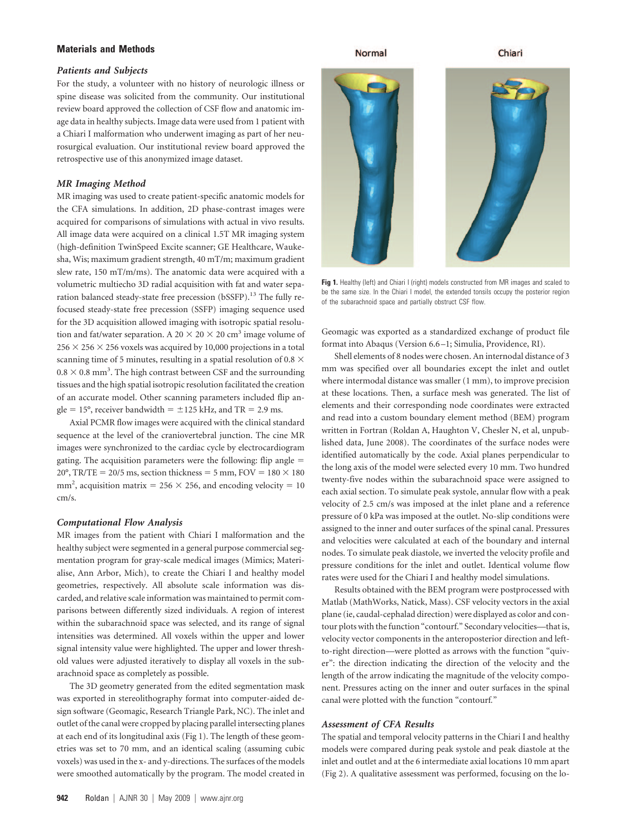## **Materials and Methods**

#### *Patients and Subjects*

For the study, a volunteer with no history of neurologic illness or spine disease was solicited from the community. Our institutional review board approved the collection of CSF flow and anatomic image data in healthy subjects. Image data were used from 1 patient with a Chiari I malformation who underwent imaging as part of her neurosurgical evaluation. Our institutional review board approved the retrospective use of this anonymized image dataset.

#### *MR Imaging Method*

MR imaging was used to create patient-specific anatomic models for the CFA simulations. In addition, 2D phase-contrast images were acquired for comparisons of simulations with actual in vivo results. All image data were acquired on a clinical 1.5T MR imaging system (high-definition TwinSpeed Excite scanner; GE Healthcare, Waukesha, Wis; maximum gradient strength, 40 mT/m; maximum gradient slew rate, 150 mT/m/ms). The anatomic data were acquired with a volumetric multiecho 3D radial acquisition with fat and water separation balanced steady-state free precession (bSSFP).<sup>13</sup> The fully refocused steady-state free precession (SSFP) imaging sequence used for the 3D acquisition allowed imaging with isotropic spatial resolution and fat/water separation. A 20  $\times$  20  $\times$  20 cm<sup>3</sup> image volume of  $256 \times 256 \times 256$  voxels was acquired by 10,000 projections in a total scanning time of 5 minutes, resulting in a spatial resolution of 0.8  $\times$  $0.8 \times 0.8$  mm<sup>3</sup>. The high contrast between CSF and the surrounding tissues and the high spatial isotropic resolution facilitated the creation of an accurate model. Other scanning parameters included flip an $gle = 15^{\circ}$ , receiver bandwidth =  $\pm$ 125 kHz, and TR = 2.9 ms.

Axial PCMR flow images were acquired with the clinical standard sequence at the level of the craniovertebral junction. The cine MR images were synchronized to the cardiac cycle by electrocardiogram gating. The acquisition parameters were the following: flip angle  $=$  $20^{\circ}$ , TR/TE = 20/5 ms, section thickness = 5 mm, FOV = 180  $\times$  180 mm<sup>2</sup>, acquisition matrix = 256  $\times$  256, and encoding velocity = 10 cm/s.

#### *Computational Flow Analysis*

MR images from the patient with Chiari I malformation and the healthy subject were segmented in a general purpose commercial segmentation program for gray-scale medical images (Mimics; Materialise, Ann Arbor, Mich), to create the Chiari I and healthy model geometries, respectively. All absolute scale information was discarded, and relative scale information was maintained to permit comparisons between differently sized individuals. A region of interest within the subarachnoid space was selected, and its range of signal intensities was determined. All voxels within the upper and lower signal intensity value were highlighted. The upper and lower threshold values were adjusted iteratively to display all voxels in the subarachnoid space as completely as possible.

The 3D geometry generated from the edited segmentation mask was exported in stereolithography format into computer-aided design software (Geomagic, Research Triangle Park, NC). The inlet and outlet of the canal were cropped by placing parallel intersecting planes at each end of its longitudinal axis (Fig 1). The length of these geometries was set to 70 mm, and an identical scaling (assuming cubic voxels) was used in the x- and y-directions. The surfaces of the models were smoothed automatically by the program. The model created in



**Fig 1.** Healthy (left) and Chiari I (right) models constructed from MR images and scaled to be the same size. In the Chiari I model, the extended tonsils occupy the posterior region of the subarachnoid space and partially obstruct CSF flow.

Geomagic was exported as a standardized exchange of product file format into Abaqus (Version 6.6 –1; Simulia, Providence, RI).

Shell elements of 8 nodes were chosen. An internodal distance of 3 mm was specified over all boundaries except the inlet and outlet where intermodal distance was smaller (1 mm), to improve precision at these locations. Then, a surface mesh was generated. The list of elements and their corresponding node coordinates were extracted and read into a custom boundary element method (BEM) program written in Fortran (Roldan A, Haughton V, Chesler N, et al, unpublished data, June 2008). The coordinates of the surface nodes were identified automatically by the code. Axial planes perpendicular to the long axis of the model were selected every 10 mm. Two hundred twenty-five nodes within the subarachnoid space were assigned to each axial section. To simulate peak systole, annular flow with a peak velocity of 2.5 cm/s was imposed at the inlet plane and a reference pressure of 0 kPa was imposed at the outlet. No-slip conditions were assigned to the inner and outer surfaces of the spinal canal. Pressures and velocities were calculated at each of the boundary and internal nodes. To simulate peak diastole, we inverted the velocity profile and pressure conditions for the inlet and outlet. Identical volume flow rates were used for the Chiari I and healthy model simulations.

Results obtained with the BEM program were postprocessed with Matlab (MathWorks, Natick, Mass). CSF velocity vectors in the axial plane (ie, caudal-cephalad direction) were displayed as color and contour plots with the function "contourf." Secondary velocities—that is, velocity vector components in the anteroposterior direction and leftto-right direction—were plotted as arrows with the function "quiver": the direction indicating the direction of the velocity and the length of the arrow indicating the magnitude of the velocity component. Pressures acting on the inner and outer surfaces in the spinal canal were plotted with the function "contourf*.*"

### *Assessment of CFA Results*

The spatial and temporal velocity patterns in the Chiari I and healthy models were compared during peak systole and peak diastole at the inlet and outlet and at the 6 intermediate axial locations 10 mm apart (Fig 2). A qualitative assessment was performed, focusing on the lo-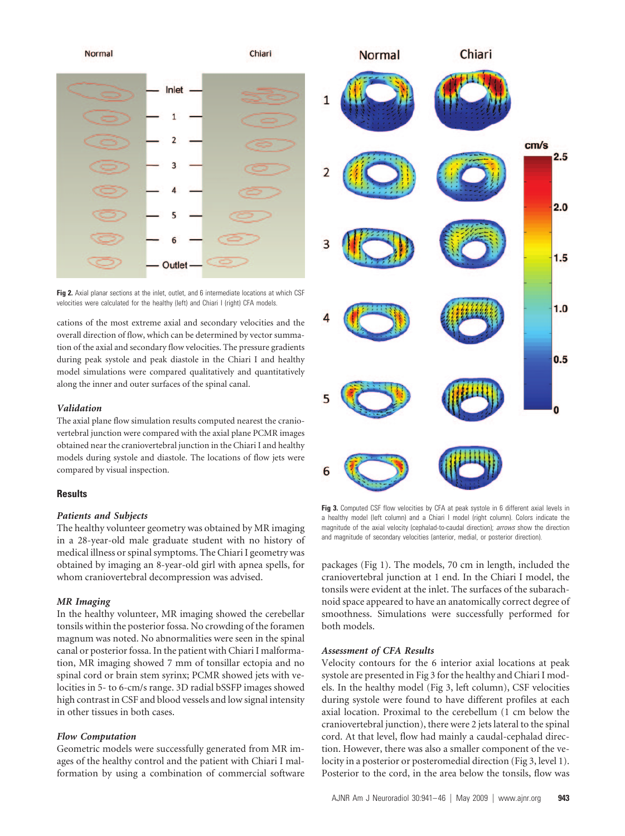

**Fig 2.** Axial planar sections at the inlet, outlet, and 6 intermediate locations at which CSF velocities were calculated for the healthy (left) and Chiari I (right) CFA models.

cations of the most extreme axial and secondary velocities and the overall direction of flow, which can be determined by vector summation of the axial and secondary flow velocities. The pressure gradients during peak systole and peak diastole in the Chiari I and healthy model simulations were compared qualitatively and quantitatively along the inner and outer surfaces of the spinal canal.

## *Validation*

The axial plane flow simulation results computed nearest the craniovertebral junction were compared with the axial plane PCMR images obtained near the craniovertebral junction in the Chiari I and healthy models during systole and diastole. The locations of flow jets were compared by visual inspection.

### **Results**

## *Patients and Subjects*

The healthy volunteer geometry was obtained by MR imaging in a 28-year-old male graduate student with no history of medical illness or spinal symptoms. The Chiari I geometry was obtained by imaging an 8-year-old girl with apnea spells, for whom craniovertebral decompression was advised.

### *MR Imaging*

In the healthy volunteer, MR imaging showed the cerebellar tonsils within the posterior fossa. No crowding of the foramen magnum was noted. No abnormalities were seen in the spinal canal or posterior fossa. In the patient with Chiari I malformation, MR imaging showed 7 mm of tonsillar ectopia and no spinal cord or brain stem syrinx; PCMR showed jets with velocities in 5- to 6-cm/s range. 3D radial bSSFP images showed high contrast in CSF and blood vessels and low signal intensity in other tissues in both cases.

## *Flow Computation*

Geometric models were successfully generated from MR images of the healthy control and the patient with Chiari I malformation by using a combination of commercial software



**Fig 3.** Computed CSF flow velocities by CFA at peak systole in 6 different axial levels in a healthy model (left column) and a Chiari I model (right column). Colors indicate the magnitude of the axial velocity (cephalad-to-caudal direction); *arrows* show the direction and magnitude of secondary velocities (anterior, medial, or posterior direction).

packages (Fig 1). The models, 70 cm in length, included the craniovertebral junction at 1 end. In the Chiari I model, the tonsils were evident at the inlet. The surfaces of the subarachnoid space appeared to have an anatomically correct degree of smoothness. Simulations were successfully performed for both models.

#### *Assessment of CFA Results*

Velocity contours for the 6 interior axial locations at peak systole are presented in Fig 3 for the healthy and Chiari I models. In the healthy model (Fig 3, left column), CSF velocities during systole were found to have different profiles at each axial location. Proximal to the cerebellum (1 cm below the craniovertebral junction), there were 2 jets lateral to the spinal cord. At that level, flow had mainly a caudal-cephalad direction. However, there was also a smaller component of the velocity in a posterior or posteromedial direction (Fig 3, level 1). Posterior to the cord, in the area below the tonsils, flow was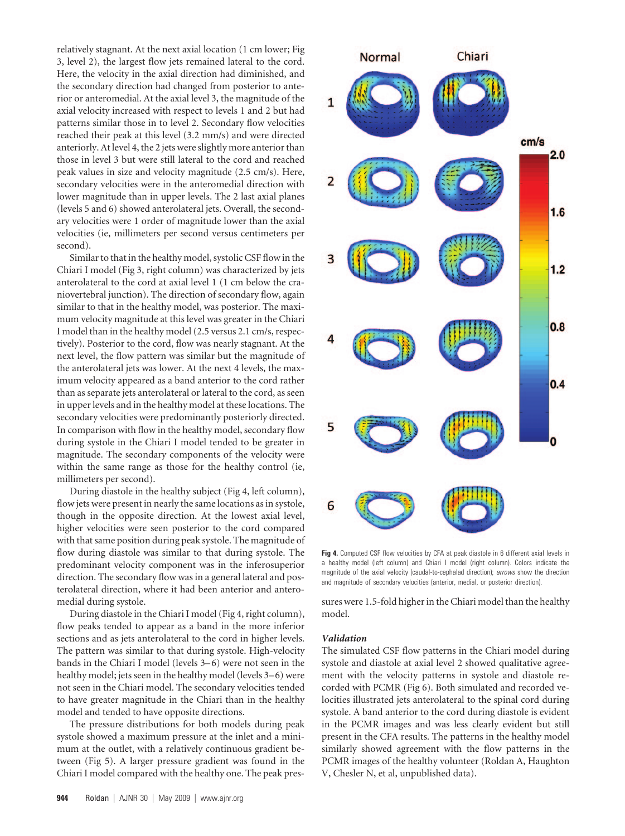relatively stagnant. At the next axial location (1 cm lower; Fig 3, level 2), the largest flow jets remained lateral to the cord. Here, the velocity in the axial direction had diminished, and the secondary direction had changed from posterior to anterior or anteromedial. At the axial level 3, the magnitude of the axial velocity increased with respect to levels 1 and 2 but had patterns similar those in to level 2. Secondary flow velocities reached their peak at this level (3.2 mm/s) and were directed anteriorly. At level 4, the 2 jets were slightly more anterior than those in level 3 but were still lateral to the cord and reached peak values in size and velocity magnitude (2.5 cm/s). Here, secondary velocities were in the anteromedial direction with lower magnitude than in upper levels. The 2 last axial planes (levels 5 and 6) showed anterolateral jets. Overall, the secondary velocities were 1 order of magnitude lower than the axial velocities (ie, millimeters per second versus centimeters per second).

Similar to that in the healthy model, systolic CSF flow in the Chiari I model (Fig 3, right column) was characterized by jets anterolateral to the cord at axial level 1 (1 cm below the craniovertebral junction). The direction of secondary flow, again similar to that in the healthy model, was posterior. The maximum velocity magnitude at this level was greater in the Chiari I model than in the healthy model (2.5 versus 2.1 cm/s, respectively). Posterior to the cord, flow was nearly stagnant. At the next level, the flow pattern was similar but the magnitude of the anterolateral jets was lower. At the next 4 levels, the maximum velocity appeared as a band anterior to the cord rather than as separate jets anterolateral or lateral to the cord, as seen in upper levels and in the healthy model at these locations. The secondary velocities were predominantly posteriorly directed. In comparison with flow in the healthy model, secondary flow during systole in the Chiari I model tended to be greater in magnitude. The secondary components of the velocity were within the same range as those for the healthy control (ie, millimeters per second).

During diastole in the healthy subject (Fig 4, left column), flow jets were present in nearly the same locations as in systole, though in the opposite direction. At the lowest axial level, higher velocities were seen posterior to the cord compared with that same position during peak systole. The magnitude of flow during diastole was similar to that during systole. The predominant velocity component was in the inferosuperior direction. The secondary flow was in a general lateral and posterolateral direction, where it had been anterior and anteromedial during systole.

During diastole in the Chiari I model (Fig 4, right column), flow peaks tended to appear as a band in the more inferior sections and as jets anterolateral to the cord in higher levels. The pattern was similar to that during systole. High-velocity bands in the Chiari I model (levels 3–6) were not seen in the healthy model; jets seen in the healthy model (levels 3–6) were not seen in the Chiari model. The secondary velocities tended to have greater magnitude in the Chiari than in the healthy model and tended to have opposite directions.

The pressure distributions for both models during peak systole showed a maximum pressure at the inlet and a minimum at the outlet, with a relatively continuous gradient between (Fig 5). A larger pressure gradient was found in the Chiari I model compared with the healthy one. The peak pres-



**Fig 4.** Computed CSF flow velocities by CFA at peak diastole in 6 different axial levels in a healthy model (left column) and Chiari I model (right column). Colors indicate the magnitude of the axial velocity (caudal-to-cephalad direction); *arrows* show the direction and magnitude of secondary velocities (anterior, medial, or posterior direction).

sures were 1.5-fold higher in the Chiari model than the healthy model.

#### *Validation*

The simulated CSF flow patterns in the Chiari model during systole and diastole at axial level 2 showed qualitative agreement with the velocity patterns in systole and diastole recorded with PCMR (Fig 6). Both simulated and recorded velocities illustrated jets anterolateral to the spinal cord during systole. A band anterior to the cord during diastole is evident in the PCMR images and was less clearly evident but still present in the CFA results. The patterns in the healthy model similarly showed agreement with the flow patterns in the PCMR images of the healthy volunteer (Roldan A, Haughton V, Chesler N, et al, unpublished data).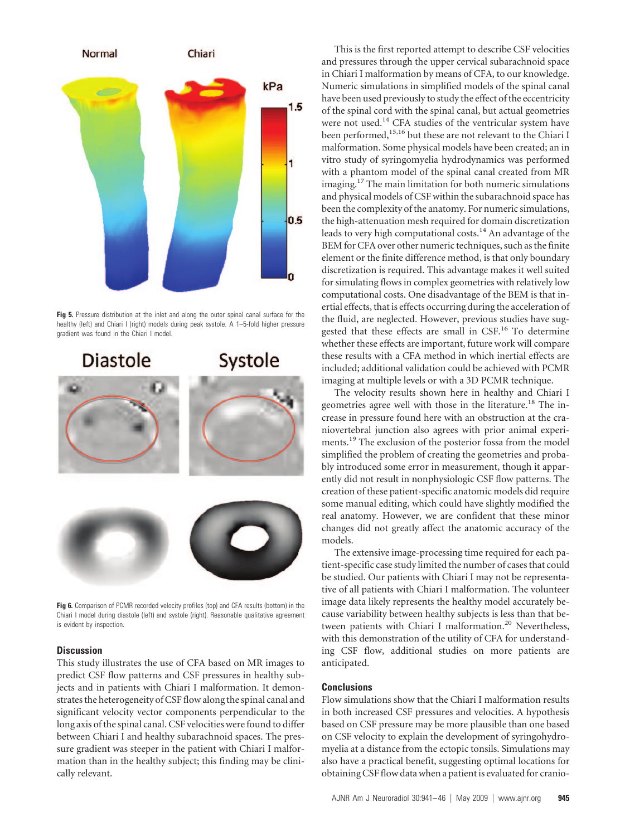

**Fig 5.** Pressure distribution at the inlet and along the outer spinal canal surface for the healthy (left) and Chiari I (right) models during peak systole. A 1-5-fold higher pressure gradient was found in the Chiari I model.



**Fig 6.** Comparison of PCMR recorded velocity profiles (top) and CFA results (bottom) in the Chiari I model during diastole (left) and systole (right). Reasonable qualitative agreement is evident by inspection.

#### **Discussion**

This study illustrates the use of CFA based on MR images to predict CSF flow patterns and CSF pressures in healthy subjects and in patients with Chiari I malformation. It demonstrates the heterogeneity of CSF flow along the spinal canal and significant velocity vector components perpendicular to the long axis of the spinal canal. CSF velocities were found to differ between Chiari I and healthy subarachnoid spaces. The pressure gradient was steeper in the patient with Chiari I malformation than in the healthy subject; this finding may be clinically relevant.

This is the first reported attempt to describe CSF velocities and pressures through the upper cervical subarachnoid space in Chiari I malformation by means of CFA, to our knowledge. Numeric simulations in simplified models of the spinal canal have been used previously to study the effect of the eccentricity of the spinal cord with the spinal canal, but actual geometries were not used.<sup>14</sup> CFA studies of the ventricular system have been performed,<sup>15,16</sup> but these are not relevant to the Chiari I malformation. Some physical models have been created; an in vitro study of syringomyelia hydrodynamics was performed with a phantom model of the spinal canal created from MR imaging.17 The main limitation for both numeric simulations and physical models of CSF within the subarachnoid space has been the complexity of the anatomy. For numeric simulations, the high-attenuation mesh required for domain discretization leads to very high computational costs.<sup>14</sup> An advantage of the BEM for CFA over other numeric techniques, such as the finite element or the finite difference method, is that only boundary discretization is required. This advantage makes it well suited for simulating flows in complex geometries with relatively low computational costs. One disadvantage of the BEM is that inertial effects, that is effects occurring during the acceleration of the fluid, are neglected. However, previous studies have suggested that these effects are small in CSF.<sup>16</sup> To determine whether these effects are important, future work will compare these results with a CFA method in which inertial effects are included; additional validation could be achieved with PCMR imaging at multiple levels or with a 3D PCMR technique.

The velocity results shown here in healthy and Chiari I geometries agree well with those in the literature.<sup>18</sup> The increase in pressure found here with an obstruction at the craniovertebral junction also agrees with prior animal experiments.19 The exclusion of the posterior fossa from the model simplified the problem of creating the geometries and probably introduced some error in measurement, though it apparently did not result in nonphysiologic CSF flow patterns. The creation of these patient-specific anatomic models did require some manual editing, which could have slightly modified the real anatomy. However, we are confident that these minor changes did not greatly affect the anatomic accuracy of the models.

The extensive image-processing time required for each patient-specific case study limited the number of cases that could be studied. Our patients with Chiari I may not be representative of all patients with Chiari I malformation. The volunteer image data likely represents the healthy model accurately because variability between healthy subjects is less than that between patients with Chiari I malformation.<sup>20</sup> Nevertheless, with this demonstration of the utility of CFA for understanding CSF flow, additional studies on more patients are anticipated.

#### **Conclusions**

Flow simulations show that the Chiari I malformation results in both increased CSF pressures and velocities. A hypothesis based on CSF pressure may be more plausible than one based on CSF velocity to explain the development of syringohydromyelia at a distance from the ectopic tonsils. Simulations may also have a practical benefit, suggesting optimal locations for obtaining CSF flow data when a patient is evaluated for cranio